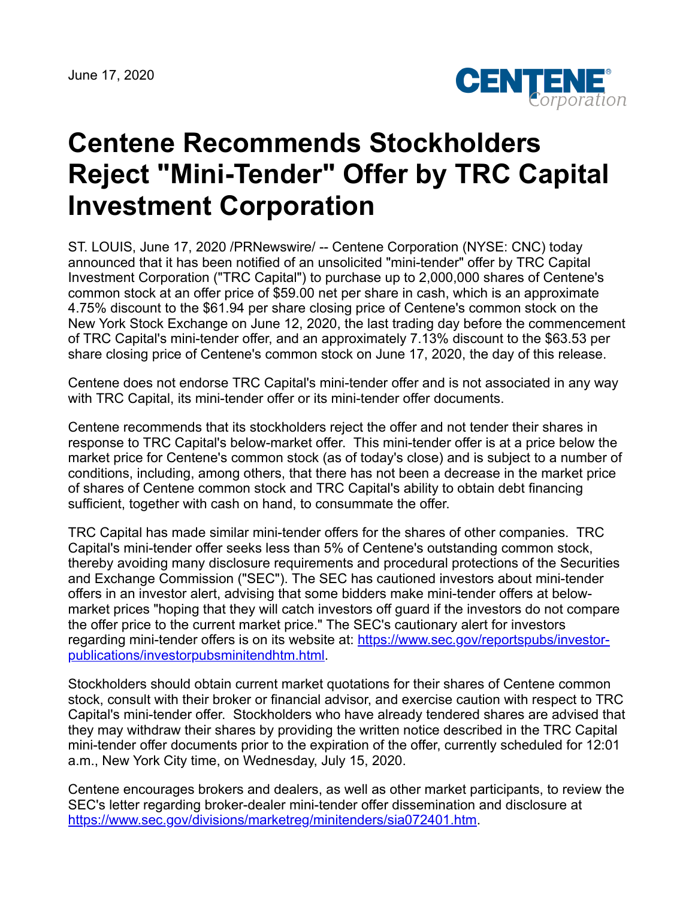June 17, 2020



## **Centene Recommends Stockholders Reject "Mini-Tender" Offer by TRC Capital Investment Corporation**

ST. LOUIS, June 17, 2020 /PRNewswire/ -- Centene Corporation (NYSE: CNC) today announced that it has been notified of an unsolicited "mini-tender" offer by TRC Capital Investment Corporation ("TRC Capital") to purchase up to 2,000,000 shares of Centene's common stock at an offer price of \$59.00 net per share in cash, which is an approximate 4.75% discount to the \$61.94 per share closing price of Centene's common stock on the New York Stock Exchange on June 12, 2020, the last trading day before the commencement of TRC Capital's mini-tender offer, and an approximately 7.13% discount to the \$63.53 per share closing price of Centene's common stock on June 17, 2020, the day of this release.

Centene does not endorse TRC Capital's mini-tender offer and is not associated in any way with TRC Capital, its mini-tender offer or its mini-tender offer documents.

Centene recommends that its stockholders reject the offer and not tender their shares in response to TRC Capital's below-market offer. This mini-tender offer is at a price below the market price for Centene's common stock (as of today's close) and is subject to a number of conditions, including, among others, that there has not been a decrease in the market price of shares of Centene common stock and TRC Capital's ability to obtain debt financing sufficient, together with cash on hand, to consummate the offer.

TRC Capital has made similar mini-tender offers for the shares of other companies. TRC Capital's mini-tender offer seeks less than 5% of Centene's outstanding common stock, thereby avoiding many disclosure requirements and procedural protections of the Securities and Exchange Commission ("SEC"). The SEC has cautioned investors about mini-tender offers in an investor alert, advising that some bidders make mini-tender offers at belowmarket prices "hoping that they will catch investors off guard if the investors do not compare the offer price to the current market price." The SEC's cautionary alert for investors [regarding mini-tender offers is on its website at: https://www.sec.gov/reportspubs/investor](https://www.sec.gov/reportspubs/investor-publications/investorpubsminitendhtm.html)publications/investorpubsminitendhtm.html.

Stockholders should obtain current market quotations for their shares of Centene common stock, consult with their broker or financial advisor, and exercise caution with respect to TRC Capital's mini-tender offer. Stockholders who have already tendered shares are advised that they may withdraw their shares by providing the written notice described in the TRC Capital mini-tender offer documents prior to the expiration of the offer, currently scheduled for 12:01 a.m., New York City time, on Wednesday, July 15, 2020.

Centene encourages brokers and dealers, as well as other market participants, to review the SEC's letter regarding broker-dealer mini-tender offer dissemination and disclosure at <https://www.sec.gov/divisions/marketreg/minitenders/sia072401.htm>.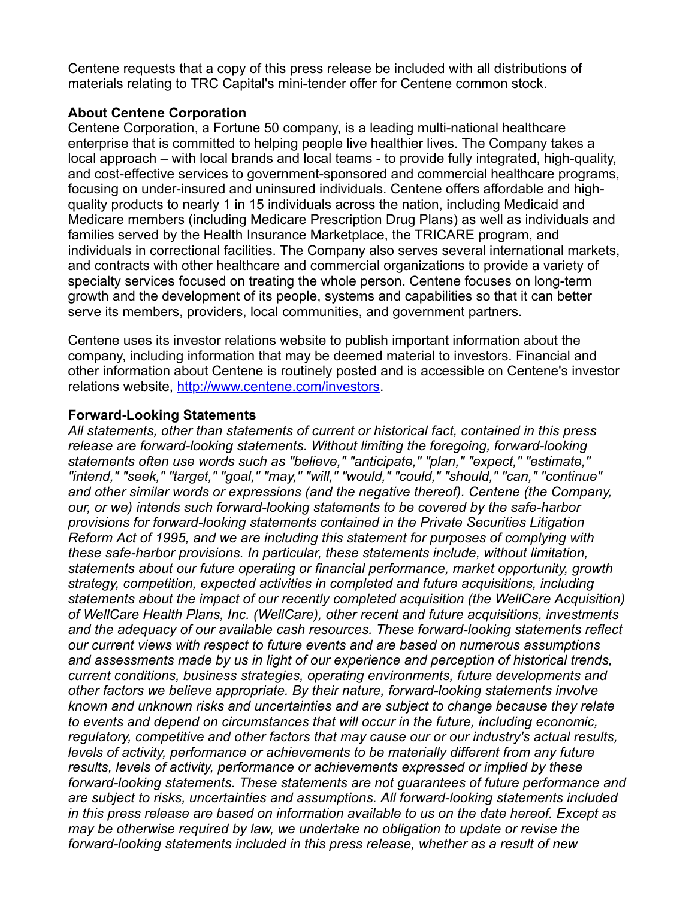Centene requests that a copy of this press release be included with all distributions of materials relating to TRC Capital's mini-tender offer for Centene common stock.

## **About Centene Corporation**

Centene Corporation, a Fortune 50 company, is a leading multi-national healthcare enterprise that is committed to helping people live healthier lives. The Company takes a local approach – with local brands and local teams - to provide fully integrated, high-quality, and cost-effective services to government-sponsored and commercial healthcare programs, focusing on under-insured and uninsured individuals. Centene offers affordable and highquality products to nearly 1 in 15 individuals across the nation, including Medicaid and Medicare members (including Medicare Prescription Drug Plans) as well as individuals and families served by the Health Insurance Marketplace, the TRICARE program, and individuals in correctional facilities. The Company also serves several international markets, and contracts with other healthcare and commercial organizations to provide a variety of specialty services focused on treating the whole person. Centene focuses on long-term growth and the development of its people, systems and capabilities so that it can better serve its members, providers, local communities, and government partners.

Centene uses its investor relations website to publish important information about the company, including information that may be deemed material to investors. Financial and other information about Centene is routinely posted and is accessible on Centene's investor relations website, <http://www.centene.com/investors>.

## **Forward-Looking Statements**

*All statements, other than statements of current or historical fact, contained in this press release are forward-looking statements. Without limiting the foregoing, forward-looking statements often use words such as "believe," "anticipate," "plan," "expect," "estimate," "intend," "seek," "target," "goal," "may," "will," "would," "could," "should," "can," "continue" and other similar words or expressions (and the negative thereof). Centene (the Company, our, or we) intends such forward-looking statements to be covered by the safe-harbor provisions for forward-looking statements contained in the Private Securities Litigation Reform Act of 1995, and we are including this statement for purposes of complying with these safe-harbor provisions. In particular, these statements include, without limitation, statements about our future operating or financial performance, market opportunity, growth strategy, competition, expected activities in completed and future acquisitions, including statements about the impact of our recently completed acquisition (the WellCare Acquisition) of WellCare Health Plans, Inc. (WellCare), other recent and future acquisitions, investments and the adequacy of our available cash resources. These forward-looking statements reflect our current views with respect to future events and are based on numerous assumptions and assessments made by us in light of our experience and perception of historical trends, current conditions, business strategies, operating environments, future developments and other factors we believe appropriate. By their nature, forward-looking statements involve known and unknown risks and uncertainties and are subject to change because they relate to events and depend on circumstances that will occur in the future, including economic, regulatory, competitive and other factors that may cause our or our industry's actual results, levels of activity, performance or achievements to be materially different from any future results, levels of activity, performance or achievements expressed or implied by these forward-looking statements. These statements are not guarantees of future performance and are subject to risks, uncertainties and assumptions. All forward-looking statements included in this press release are based on information available to us on the date hereof. Except as may be otherwise required by law, we undertake no obligation to update or revise the forward-looking statements included in this press release, whether as a result of new*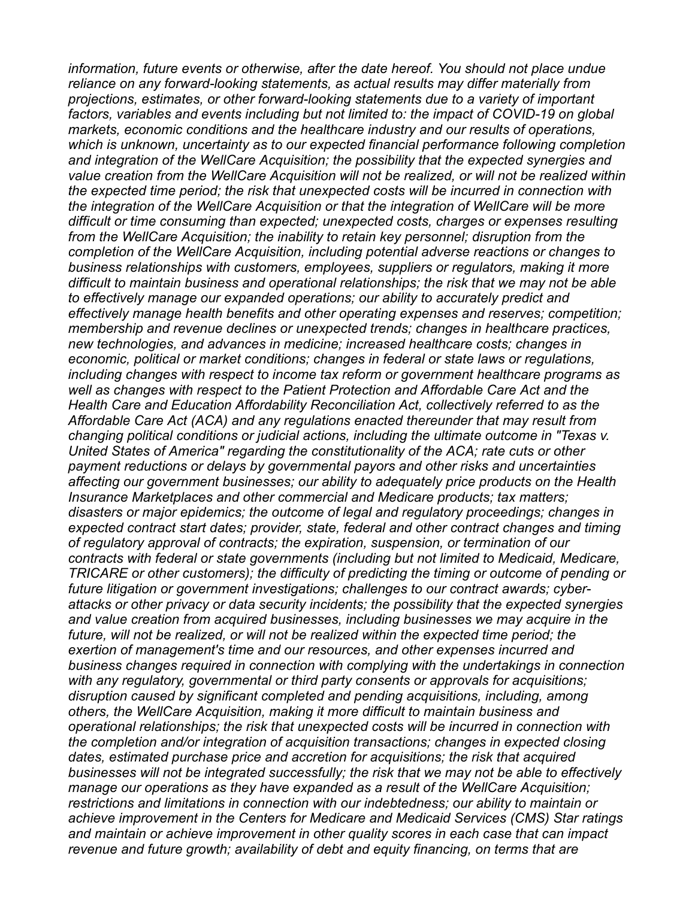*information, future events or otherwise, after the date hereof. You should not place undue reliance on any forward-looking statements, as actual results may differ materially from projections, estimates, or other forward-looking statements due to a variety of important factors, variables and events including but not limited to: the impact of COVID-19 on global markets, economic conditions and the healthcare industry and our results of operations, which is unknown, uncertainty as to our expected financial performance following completion and integration of the WellCare Acquisition; the possibility that the expected synergies and value creation from the WellCare Acquisition will not be realized, or will not be realized within the expected time period; the risk that unexpected costs will be incurred in connection with the integration of the WellCare Acquisition or that the integration of WellCare will be more difficult or time consuming than expected; unexpected costs, charges or expenses resulting from the WellCare Acquisition; the inability to retain key personnel; disruption from the completion of the WellCare Acquisition, including potential adverse reactions or changes to business relationships with customers, employees, suppliers or regulators, making it more difficult to maintain business and operational relationships; the risk that we may not be able to effectively manage our expanded operations; our ability to accurately predict and effectively manage health benefits and other operating expenses and reserves; competition; membership and revenue declines or unexpected trends; changes in healthcare practices, new technologies, and advances in medicine; increased healthcare costs; changes in economic, political or market conditions; changes in federal or state laws or regulations, including changes with respect to income tax reform or government healthcare programs as well as changes with respect to the Patient Protection and Affordable Care Act and the Health Care and Education Affordability Reconciliation Act, collectively referred to as the Affordable Care Act (ACA) and any regulations enacted thereunder that may result from changing political conditions or judicial actions, including the ultimate outcome in "Texas v. United States of America" regarding the constitutionality of the ACA; rate cuts or other payment reductions or delays by governmental payors and other risks and uncertainties affecting our government businesses; our ability to adequately price products on the Health Insurance Marketplaces and other commercial and Medicare products; tax matters; disasters or major epidemics; the outcome of legal and regulatory proceedings; changes in expected contract start dates; provider, state, federal and other contract changes and timing of regulatory approval of contracts; the expiration, suspension, or termination of our contracts with federal or state governments (including but not limited to Medicaid, Medicare, TRICARE or other customers); the difficulty of predicting the timing or outcome of pending or future litigation or government investigations; challenges to our contract awards; cyberattacks or other privacy or data security incidents; the possibility that the expected synergies and value creation from acquired businesses, including businesses we may acquire in the future, will not be realized, or will not be realized within the expected time period; the exertion of management's time and our resources, and other expenses incurred and business changes required in connection with complying with the undertakings in connection with any regulatory, governmental or third party consents or approvals for acquisitions; disruption caused by significant completed and pending acquisitions, including, among others, the WellCare Acquisition, making it more difficult to maintain business and operational relationships; the risk that unexpected costs will be incurred in connection with the completion and/or integration of acquisition transactions; changes in expected closing dates, estimated purchase price and accretion for acquisitions; the risk that acquired businesses will not be integrated successfully; the risk that we may not be able to effectively manage our operations as they have expanded as a result of the WellCare Acquisition; restrictions and limitations in connection with our indebtedness; our ability to maintain or achieve improvement in the Centers for Medicare and Medicaid Services (CMS) Star ratings and maintain or achieve improvement in other quality scores in each case that can impact revenue and future growth; availability of debt and equity financing, on terms that are*